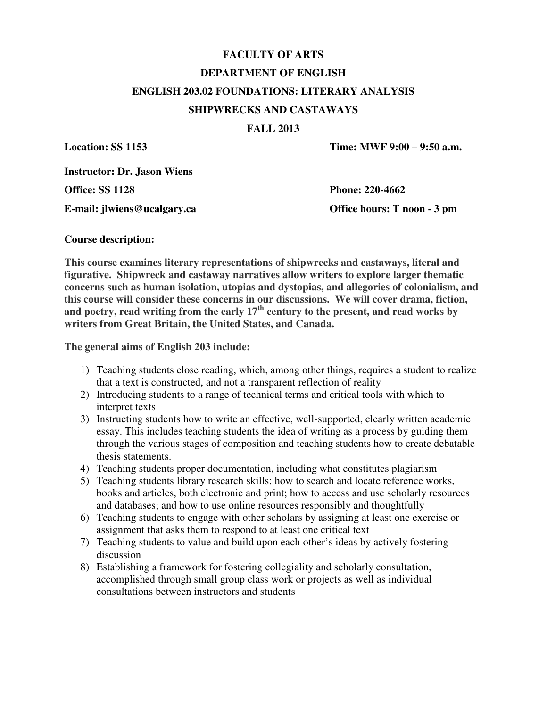# **FACULTY OF ARTS DEPARTMENT OF ENGLISH ENGLISH 203.02 FOUNDATIONS: LITERARY ANALYSIS SHIPWRECKS AND CASTAWAYS**

#### **FALL 2013**

**Location: SS 1153** Time: MWF 9:00 – 9:50 a.m.

**Instructor: Dr. Jason Wiens** 

**E-mail: jlwiens@ucalgary.ca Office hours: T noon - 3 pm** 

**Office: SS 1128 Phone: 220-4662** 

#### **Course description:**

**This course examines literary representations of shipwrecks and castaways, literal and figurative. Shipwreck and castaway narratives allow writers to explore larger thematic concerns such as human isolation, utopias and dystopias, and allegories of colonialism, and this course will consider these concerns in our discussions. We will cover drama, fiction,**  and poetry, read writing from the early 17<sup>th</sup> century to the present, and read works by **writers from Great Britain, the United States, and Canada.** 

**The general aims of English 203 include:** 

- 1) Teaching students close reading, which, among other things, requires a student to realize that a text is constructed, and not a transparent reflection of reality
- 2) Introducing students to a range of technical terms and critical tools with which to interpret texts
- 3) Instructing students how to write an effective, well-supported, clearly written academic essay. This includes teaching students the idea of writing as a process by guiding them through the various stages of composition and teaching students how to create debatable thesis statements.
- 4) Teaching students proper documentation, including what constitutes plagiarism
- 5) Teaching students library research skills: how to search and locate reference works, books and articles, both electronic and print; how to access and use scholarly resources and databases; and how to use online resources responsibly and thoughtfully
- 6) Teaching students to engage with other scholars by assigning at least one exercise or assignment that asks them to respond to at least one critical text
- 7) Teaching students to value and build upon each other's ideas by actively fostering discussion
- 8) Establishing a framework for fostering collegiality and scholarly consultation, accomplished through small group class work or projects as well as individual consultations between instructors and students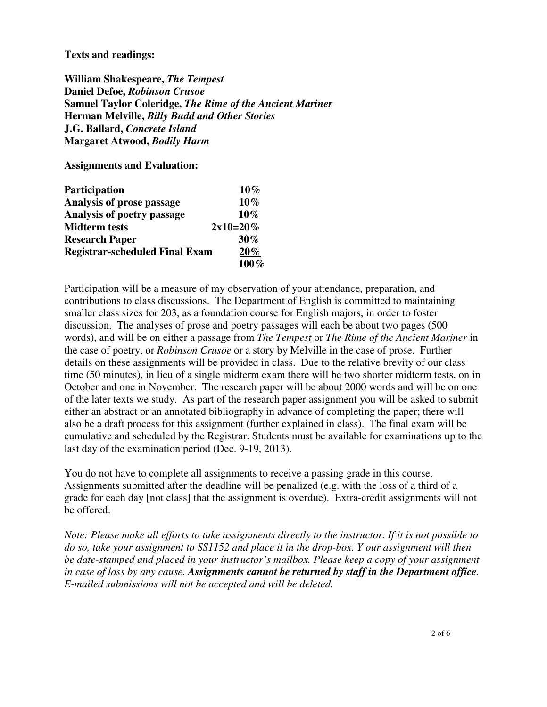#### **Texts and readings:**

**William Shakespeare,** *The Tempest* **Daniel Defoe,** *Robinson Crusoe* **Samuel Taylor Coleridge,** *The Rime of the Ancient Mariner* **Herman Melville,** *Billy Budd and Other Stories*  **J.G. Ballard,** *Concrete Island* **Margaret Atwood,** *Bodily Harm*

**Assignments and Evaluation:** 

| <b>Participation</b>                  | $10\%$     |
|---------------------------------------|------------|
| Analysis of prose passage             | $10\%$     |
| Analysis of poetry passage            | $10\%$     |
| <b>Midterm tests</b>                  | $2x10=20%$ |
| <b>Research Paper</b>                 | $30\%$     |
| <b>Registrar-scheduled Final Exam</b> | $20\%$     |
|                                       | $100\%$    |

Participation will be a measure of my observation of your attendance, preparation, and contributions to class discussions. The Department of English is committed to maintaining smaller class sizes for 203, as a foundation course for English majors, in order to foster discussion. The analyses of prose and poetry passages will each be about two pages (500 words), and will be on either a passage from *The Tempest* or *The Rime of the Ancient Mariner* in the case of poetry, or *Robinson Crusoe* or a story by Melville in the case of prose. Further details on these assignments will be provided in class. Due to the relative brevity of our class time (50 minutes), in lieu of a single midterm exam there will be two shorter midterm tests, on in October and one in November. The research paper will be about 2000 words and will be on one of the later texts we study. As part of the research paper assignment you will be asked to submit either an abstract or an annotated bibliography in advance of completing the paper; there will also be a draft process for this assignment (further explained in class). The final exam will be cumulative and scheduled by the Registrar. Students must be available for examinations up to the last day of the examination period (Dec. 9-19, 2013).

You do not have to complete all assignments to receive a passing grade in this course. Assignments submitted after the deadline will be penalized (e.g. with the loss of a third of a grade for each day [not class] that the assignment is overdue). Extra-credit assignments will not be offered.

*Note: Please make all efforts to take assignments directly to the instructor. If it is not possible to do so, take your assignment to SS1152 and place it in the drop-box. Y our assignment will then be date-stamped and placed in your instructor's mailbox. Please keep a copy of your assignment in case of loss by any cause. Assignments cannot be returned by staff in the Department office. E-mailed submissions will not be accepted and will be deleted.*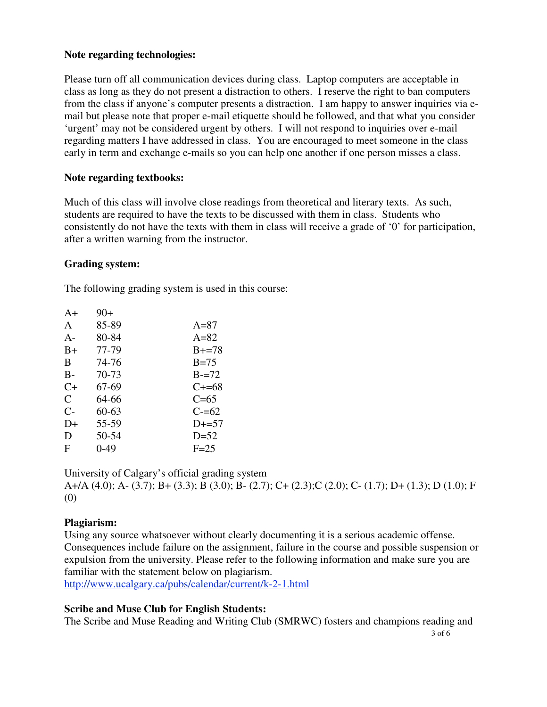#### **Note regarding technologies:**

Please turn off all communication devices during class. Laptop computers are acceptable in class as long as they do not present a distraction to others. I reserve the right to ban computers from the class if anyone's computer presents a distraction. I am happy to answer inquiries via email but please note that proper e-mail etiquette should be followed, and that what you consider 'urgent' may not be considered urgent by others. I will not respond to inquiries over e-mail regarding matters I have addressed in class. You are encouraged to meet someone in the class early in term and exchange e-mails so you can help one another if one person misses a class.

#### **Note regarding textbooks:**

Much of this class will involve close readings from theoretical and literary texts. As such, students are required to have the texts to be discussed with them in class. Students who consistently do not have the texts with them in class will receive a grade of '0' for participation, after a written warning from the instructor.

#### **Grading system:**

The following grading system is used in this course:

| $A+$ | $90+$ |            |
|------|-------|------------|
| A    | 85-89 | $A=87$     |
| $A-$ | 80-84 | $A=82$     |
| $B+$ | 77-79 | $B_{+}=78$ |
| B    | 74-76 | $B=75$     |
| B-   | 70-73 | $B = 72$   |
| C+   | 67-69 | $C_{+=68}$ |
| C    | 64-66 | $C=65$     |
| $C-$ | 60-63 | $C = 62$   |
| D+   | 55-59 | $D+=57$    |
| D    | 50-54 | $D=52$     |
| F    | 0-49  | $F=25$     |

University of Calgary's official grading system

A+/A (4.0); A- (3.7); B+ (3.3); B (3.0); B- (2.7); C+ (2.3);C (2.0); C- (1.7); D+ (1.3); D (1.0); F (0)

## **Plagiarism:**

Using any source whatsoever without clearly documenting it is a serious academic offense. Consequences include failure on the assignment, failure in the course and possible suspension or expulsion from the university. Please refer to the following information and make sure you are familiar with the statement below on plagiarism.

http://www.ucalgary.ca/pubs/calendar/current/k-2-1.html

## **Scribe and Muse Club for English Students:**

 3 of 6 The Scribe and Muse Reading and Writing Club (SMRWC) fosters and champions reading and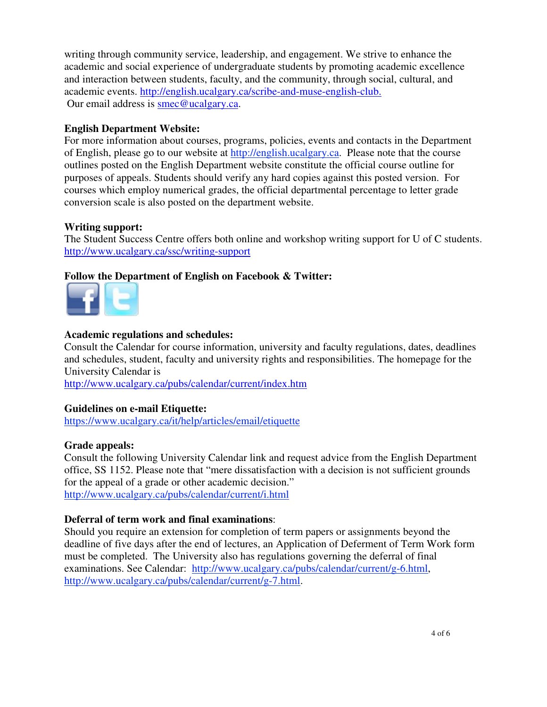writing through community service, leadership, and engagement. We strive to enhance the academic and social experience of undergraduate students by promoting academic excellence and interaction between students, faculty, and the community, through social, cultural, and academic events. http://english.ucalgary.ca/scribe-and-muse-english-club. Our email address is smec@ucalgary.ca.

## **English Department Website:**

For more information about courses, programs, policies, events and contacts in the Department of English, please go to our website at http://english.ucalgary.ca. Please note that the course outlines posted on the English Department website constitute the official course outline for purposes of appeals. Students should verify any hard copies against this posted version. For courses which employ numerical grades, the official departmental percentage to letter grade conversion scale is also posted on the department website.

## **Writing support:**

The Student Success Centre offers both online and workshop writing support for U of C students. http://www.ucalgary.ca/ssc/writing-support

## **Follow the Department of English on Facebook & Twitter:**



## **Academic regulations and schedules:**

Consult the Calendar for course information, university and faculty regulations, dates, deadlines and schedules, student, faculty and university rights and responsibilities. The homepage for the University Calendar is

http://www.ucalgary.ca/pubs/calendar/current/index.htm

## **Guidelines on e-mail Etiquette:**

https://www.ucalgary.ca/it/help/articles/email/etiquette

#### **Grade appeals:**

Consult the following University Calendar link and request advice from the English Department office, SS 1152. Please note that "mere dissatisfaction with a decision is not sufficient grounds for the appeal of a grade or other academic decision." http://www.ucalgary.ca/pubs/calendar/current/i.html

## **Deferral of term work and final examinations**:

Should you require an extension for completion of term papers or assignments beyond the deadline of five days after the end of lectures, an Application of Deferment of Term Work form must be completed. The University also has regulations governing the deferral of final examinations. See Calendar: http://www.ucalgary.ca/pubs/calendar/current/g-6.html, http://www.ucalgary.ca/pubs/calendar/current/g-7.html.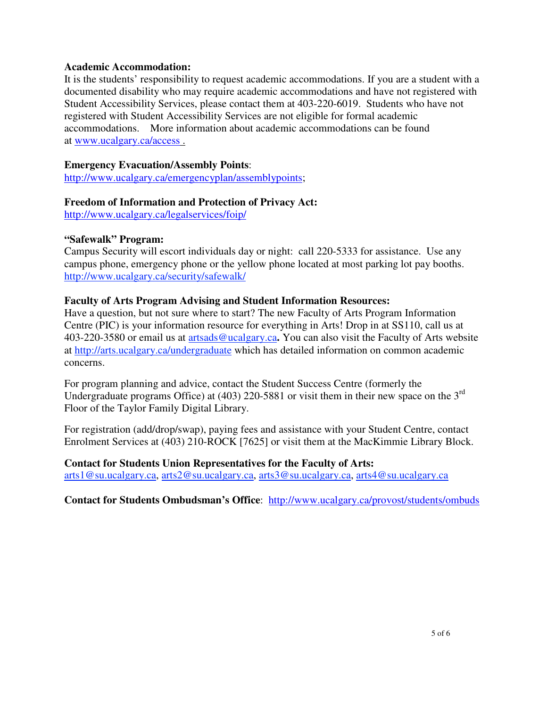#### **Academic Accommodation:**

It is the students' responsibility to request academic accommodations. If you are a student with a documented disability who may require academic accommodations and have not registered with Student Accessibility Services, please contact them at 403-220-6019. Students who have not registered with Student Accessibility Services are not eligible for formal academic accommodations. More information about academic accommodations can be found at www.ucalgary.ca/access .

#### **Emergency Evacuation/Assembly Points**:

http://www.ucalgary.ca/emergencyplan/assemblypoints;

## **Freedom of Information and Protection of Privacy Act:**

http://www.ucalgary.ca/legalservices/foip/

## **"Safewalk" Program:**

Campus Security will escort individuals day or night: call 220-5333 for assistance. Use any campus phone, emergency phone or the yellow phone located at most parking lot pay booths. http://www.ucalgary.ca/security/safewalk/

## **Faculty of Arts Program Advising and Student Information Resources:**

Have a question, but not sure where to start? The new Faculty of Arts Program Information Centre (PIC) is your information resource for everything in Arts! Drop in at SS110, call us at 403-220-3580 or email us at artsads@ucalgary.ca**.** You can also visit the Faculty of Arts website at http://arts.ucalgary.ca/undergraduate which has detailed information on common academic concerns.

For program planning and advice, contact the Student Success Centre (formerly the Undergraduate programs Office) at (403) 220-5881 or visit them in their new space on the  $3<sup>rd</sup>$ Floor of the Taylor Family Digital Library.

For registration (add/drop/swap), paying fees and assistance with your Student Centre, contact Enrolment Services at (403) 210-ROCK [7625] or visit them at the MacKimmie Library Block.

**Contact for Students Union Representatives for the Faculty of Arts:**  arts1@su.ucalgary.ca, arts2@su.ucalgary.ca, arts3@su.ucalgary.ca, arts4@su.ucalgary.ca

**Contact for Students Ombudsman's Office**: http://www.ucalgary.ca/provost/students/ombuds